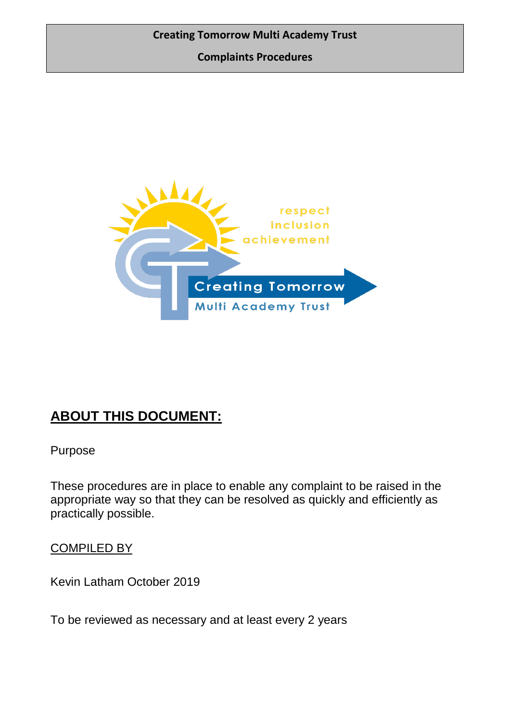**Complaints Procedures**



# **ABOUT THIS DOCUMENT:**

Purpose

These procedures are in place to enable any complaint to be raised in the appropriate way so that they can be resolved as quickly and efficiently as practically possible.

COMPILED BY

Kevin Latham October 2019

To be reviewed as necessary and at least every 2 years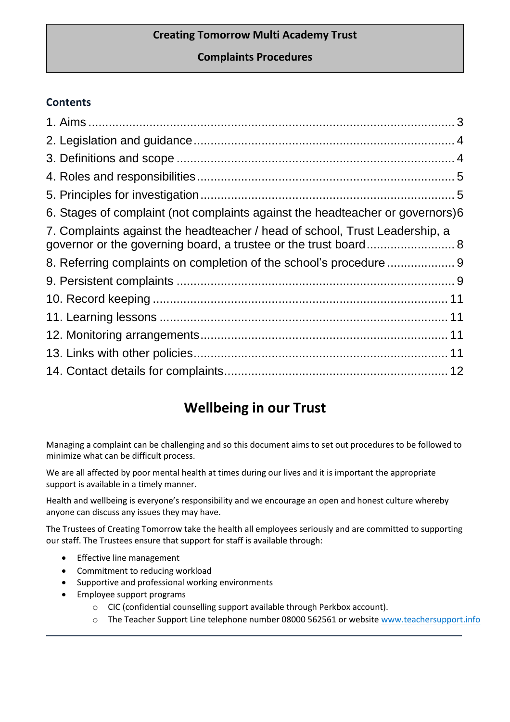# **Complaints Procedures**

# **Contents**

| 6. Stages of complaint (not complaints against the headteacher or governors) 6                                                                 |  |
|------------------------------------------------------------------------------------------------------------------------------------------------|--|
| 7. Complaints against the headteacher / head of school, Trust Leadership, a<br>governor or the governing board, a trustee or the trust board 8 |  |
|                                                                                                                                                |  |
|                                                                                                                                                |  |
|                                                                                                                                                |  |
|                                                                                                                                                |  |
|                                                                                                                                                |  |
|                                                                                                                                                |  |
|                                                                                                                                                |  |

# **Wellbeing in our Trust**

Managing a complaint can be challenging and so this document aims to set out procedures to be followed to minimize what can be difficult process.

We are all affected by poor mental health at times during our lives and it is important the appropriate support is available in a timely manner.

Health and wellbeing is everyone's responsibility and we encourage an open and honest culture whereby anyone can discuss any issues they may have.

The Trustees of Creating Tomorrow take the health all employees seriously and are committed to supporting our staff. The Trustees ensure that support for staff is available through:

- **•** Effective line management
- Commitment to reducing workload
- Supportive and professional working environments
- Employee support programs
	- o CIC (confidential counselling support available through Perkbox account).
	- o The Teacher Support Line telephone number 08000 562561 or websit[e www.teachersupport.info](http://www.teachersupport.info/)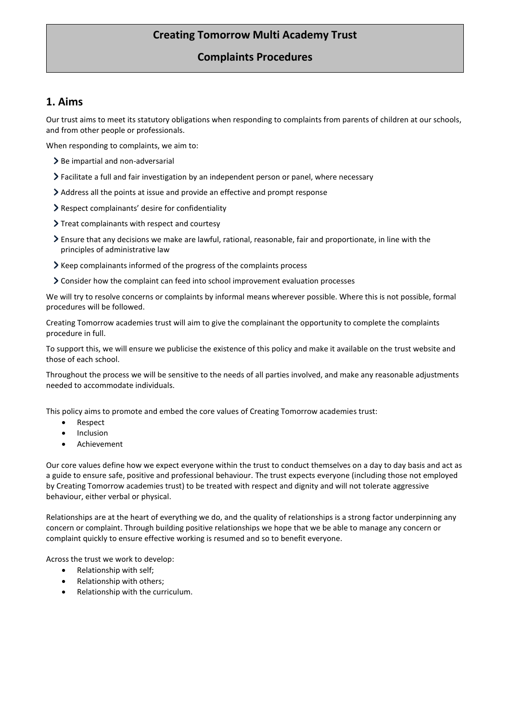### **Complaints Procedures**

### <span id="page-2-0"></span>**1. Aims**

Our trust aims to meet its statutory obligations when responding to complaints from parents of children at our schools, and from other people or professionals.

When responding to complaints, we aim to:

- $\geq$  Be impartial and non-adversarial
- Facilitate a full and fair investigation by an independent person or panel, where necessary
- Address all the points at issue and provide an effective and prompt response
- > Respect complainants' desire for confidentiality
- > Treat complainants with respect and courtesy
- Ensure that any decisions we make are lawful, rational, reasonable, fair and proportionate, in line with the principles of administrative law
- If Keep complainants informed of the progress of the complaints process
- Consider how the complaint can feed into school improvement evaluation processes

We will try to resolve concerns or complaints by informal means wherever possible. Where this is not possible, formal procedures will be followed.

Creating Tomorrow academies trust will aim to give the complainant the opportunity to complete the complaints procedure in full.

To support this, we will ensure we publicise the existence of this policy and make it available on the trust website and those of each school.

Throughout the process we will be sensitive to the needs of all parties involved, and make any reasonable adjustments needed to accommodate individuals.

This policy aims to promote and embed the core values of Creating Tomorrow academies trust:

- Respect
- Inclusion
- Achievement

Our core values define how we expect everyone within the trust to conduct themselves on a day to day basis and act as a guide to ensure safe, positive and professional behaviour. The trust expects everyone (including those not employed by Creating Tomorrow academies trust) to be treated with respect and dignity and will not tolerate aggressive behaviour, either verbal or physical.

Relationships are at the heart of everything we do, and the quality of relationships is a strong factor underpinning any concern or complaint. Through building positive relationships we hope that we be able to manage any concern or complaint quickly to ensure effective working is resumed and so to benefit everyone.

Across the trust we work to develop:

- Relationship with self;
- Relationship with others;
- Relationship with the curriculum.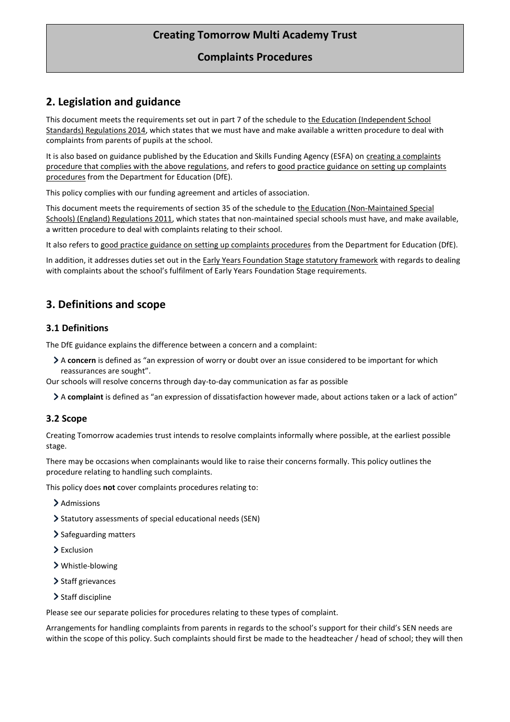### **Complaints Procedures**

# <span id="page-3-0"></span>**2. Legislation and guidance**

This document meets the requirements set out in part 7 of the schedule to the Education (Independent School [Standards\) Regulations 2014,](http://www.legislation.gov.uk/uksi/2014/3283/schedule/made) which states that we must have and make available a written procedure to deal with complaints from parents of pupils at the school.

It is also based on guidance published by the Education and Skills Funding Agency (ESFA) on [creating a complaints](https://www.gov.uk/government/publications/setting-up-an-academies-complaints-procedure)  [procedure that complies with the above regulations,](https://www.gov.uk/government/publications/setting-up-an-academies-complaints-procedure) and refers to [good practice guidance on setting up complaints](https://www.gov.uk/government/publications/school-complaints-procedures)  [procedures](https://www.gov.uk/government/publications/school-complaints-procedures) from the Department for Education (DfE).

This policy complies with our funding agreement and articles of association.

This document meets the requirements of section 35 of the schedule to [the Education \(Non-Maintained Special](http://www.legislation.gov.uk/uksi/2011/1627/schedule/made)  [Schools\) \(England\) Regulations 2011,](http://www.legislation.gov.uk/uksi/2011/1627/schedule/made) which states that non-maintained special schools must have, and make available, a written procedure to deal with complaints relating to their school.

It also refers t[o good practice guidance on setting up complaints procedures](https://www.gov.uk/government/publications/school-complaints-procedures) from the Department for Education (DfE).

In addition, it addresses duties set out in th[e Early Years Foundation Stage statutory framework](https://www.gov.uk/government/publications/early-years-foundation-stage-framework--2) with regards to dealing with complaints about the school's fulfilment of Early Years Foundation Stage requirements.

# <span id="page-3-1"></span>**3. Definitions and scope**

#### **3.1 Definitions**

The DfE guidance explains the difference between a concern and a complaint:

A **concern** is defined as "an expression of worry or doubt over an issue considered to be important for which reassurances are sought".

Our schools will resolve concerns through day-to-day communication as far as possible

A **complaint** is defined as "an expression of dissatisfaction however made, about actions taken or a lack of action"

### **3.2 Scope**

Creating Tomorrow academies trust intends to resolve complaints informally where possible, at the earliest possible stage.

There may be occasions when complainants would like to raise their concerns formally. This policy outlines the procedure relating to handling such complaints.

This policy does **not** cover complaints procedures relating to:

- > Admissions
- Statutory assessments of special educational needs (SEN)
- > Safeguarding matters
- > Exclusion
- Whistle-blowing
- > Staff grievances
- > Staff discipline

Please see our separate policies for procedures relating to these types of complaint.

Arrangements for handling complaints from parents in regards to the school's support for their child's SEN needs are within the scope of this policy. Such complaints should first be made to the headteacher / head of school; they will then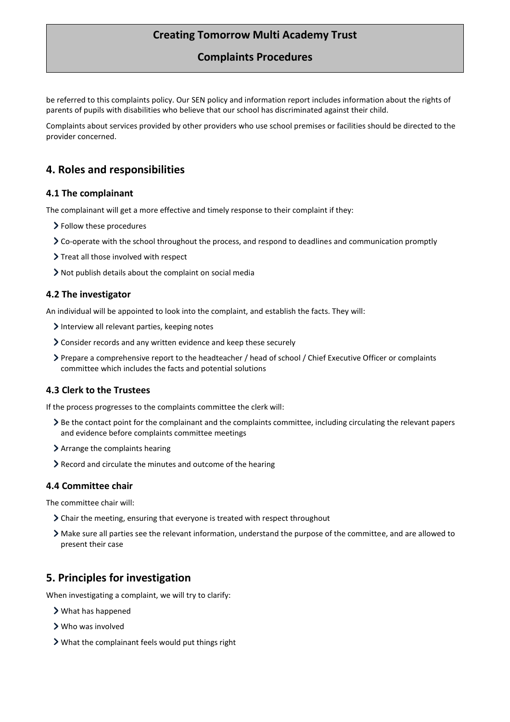### **Complaints Procedures**

be referred to this complaints policy. Our SEN policy and information report includes information about the rights of parents of pupils with disabilities who believe that our school has discriminated against their child.

Complaints about services provided by other providers who use school premises or facilities should be directed to the provider concerned.

### <span id="page-4-0"></span>**4. Roles and responsibilities**

#### **4.1 The complainant**

The complainant will get a more effective and timely response to their complaint if they:

- > Follow these procedures
- Co-operate with the school throughout the process, and respond to deadlines and communication promptly
- Treat all those involved with respect
- Not publish details about the complaint on social media

#### **4.2 The investigator**

An individual will be appointed to look into the complaint, and establish the facts. They will:

- Interview all relevant parties, keeping notes
- Consider records and any written evidence and keep these securely
- Prepare a comprehensive report to the headteacher / head of school / Chief Executive Officer or complaints committee which includes the facts and potential solutions

#### **4.3 Clerk to the Trustees**

If the process progresses to the complaints committee the clerk will:

- Be the contact point for the complainant and the complaints committee, including circulating the relevant papers and evidence before complaints committee meetings
- > Arrange the complaints hearing
- Record and circulate the minutes and outcome of the hearing

#### **4.4 Committee chair**

The committee chair will:

- Chair the meeting, ensuring that everyone is treated with respect throughout
- Make sure all parties see the relevant information, understand the purpose of the committee, and are allowed to present their case

### <span id="page-4-1"></span>**5. Principles for investigation**

When investigating a complaint, we will try to clarify:

- What has happened
- Who was involved
- What the complainant feels would put things right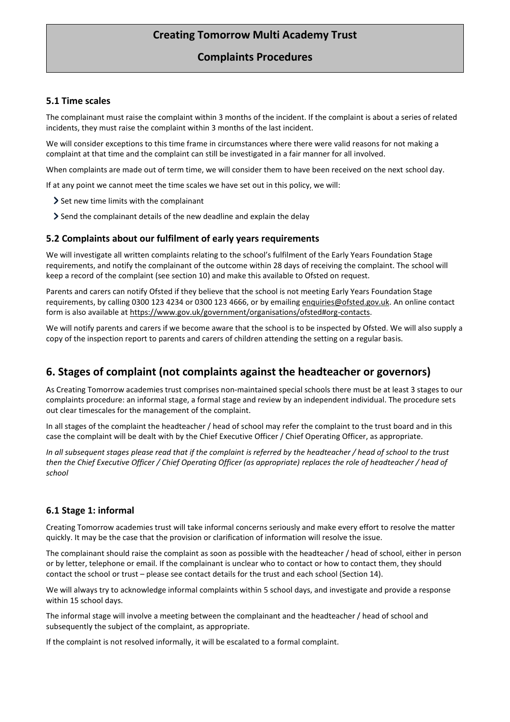### **Complaints Procedures**

#### **5.1 Time scales**

The complainant must raise the complaint within 3 months of the incident. If the complaint is about a series of related incidents, they must raise the complaint within 3 months of the last incident.

We will consider exceptions to this time frame in circumstances where there were valid reasons for not making a complaint at that time and the complaint can still be investigated in a fair manner for all involved.

When complaints are made out of term time, we will consider them to have been received on the next school day.

If at any point we cannot meet the time scales we have set out in this policy, we will:

- $\geq$  Set new time limits with the complainant
- Send the complainant details of the new deadline and explain the delay

#### **5.2 Complaints about our fulfilment of early years requirements**

We will investigate all written complaints relating to the school's fulfilment of the Early Years Foundation Stage requirements, and notify the complainant of the outcome within 28 days of receiving the complaint. The school will keep a record of the complaint (see section 10) and make this available to Ofsted on request.

Parents and carers can notify Ofsted if they believe that the school is not meeting Early Years Foundation Stage requirements, by calling 0300 123 4234 or 0300 123 4666, or by emailin[g enquiries@ofsted.gov.uk.](mailto:enquiries@ofsted.gov.uk) An online contact form is also available a[t https://www.gov.uk/government/organisations/ofsted#org-contacts.](https://www.gov.uk/government/organisations/ofsted#org-contacts)

We will notify parents and carers if we become aware that the school is to be inspected by Ofsted. We will also supply a copy of the inspection report to parents and carers of children attending the setting on a regular basis.

# <span id="page-5-0"></span>**6. Stages of complaint (not complaints against the headteacher or governors)**

As Creating Tomorrow academies trust comprises non-maintained special schools there must be at least 3 stages to our complaints procedure: an informal stage, a formal stage and review by an independent individual. The procedure sets out clear timescales for the management of the complaint.

In all stages of the complaint the headteacher / head of school may refer the complaint to the trust board and in this case the complaint will be dealt with by the Chief Executive Officer / Chief Operating Officer, as appropriate.

*In all subsequent stages please read that if the complaint is referred by the headteacher / head of school to the trust then the Chief Executive Officer / Chief Operating Officer (as appropriate) replaces the role of headteacher / head of school*

#### **6.1 Stage 1: informal**

Creating Tomorrow academies trust will take informal concerns seriously and make every effort to resolve the matter quickly. It may be the case that the provision or clarification of information will resolve the issue.

The complainant should raise the complaint as soon as possible with the headteacher / head of school, either in person or by letter, telephone or email. If the complainant is unclear who to contact or how to contact them, they should contact the school or trust – please see contact details for the trust and each school (Section 14).

We will always try to acknowledge informal complaints within 5 school days, and investigate and provide a response within 15 school days.

The informal stage will involve a meeting between the complainant and the headteacher / head of school and subsequently the subject of the complaint, as appropriate.

If the complaint is not resolved informally, it will be escalated to a formal complaint.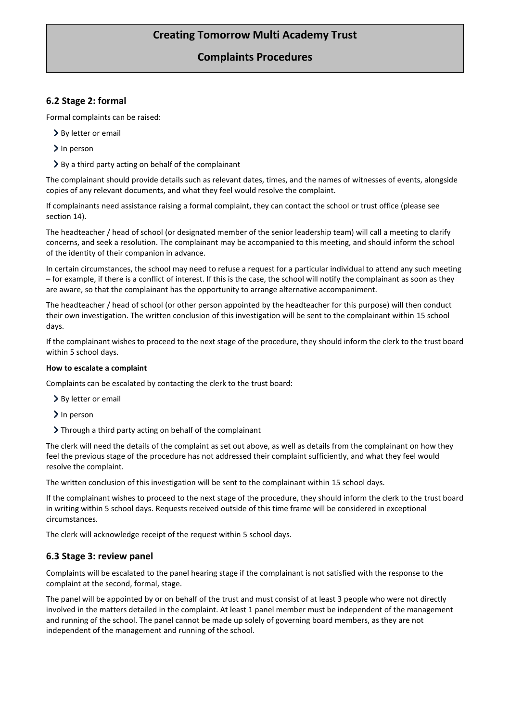### **Complaints Procedures**

### **6.2 Stage 2: formal**

Formal complaints can be raised:

- > By letter or email
- > In person
- > By a third party acting on behalf of the complainant

The complainant should provide details such as relevant dates, times, and the names of witnesses of events, alongside copies of any relevant documents, and what they feel would resolve the complaint.

If complainants need assistance raising a formal complaint, they can contact the school or trust office (please see section 14).

The headteacher / head of school (or designated member of the senior leadership team) will call a meeting to clarify concerns, and seek a resolution. The complainant may be accompanied to this meeting, and should inform the school of the identity of their companion in advance.

In certain circumstances, the school may need to refuse a request for a particular individual to attend any such meeting – for example, if there is a conflict of interest. If this is the case, the school will notify the complainant as soon as they are aware, so that the complainant has the opportunity to arrange alternative accompaniment.

The headteacher / head of school (or other person appointed by the headteacher for this purpose) will then conduct their own investigation. The written conclusion of this investigation will be sent to the complainant within 15 school days.

If the complainant wishes to proceed to the next stage of the procedure, they should inform the clerk to the trust board within 5 school days.

#### **How to escalate a complaint**

Complaints can be escalated by contacting the clerk to the trust board:

- > By letter or email
- > In person
- Through a third party acting on behalf of the complainant

The clerk will need the details of the complaint as set out above, as well as details from the complainant on how they feel the previous stage of the procedure has not addressed their complaint sufficiently, and what they feel would resolve the complaint.

The written conclusion of this investigation will be sent to the complainant within 15 school days.

If the complainant wishes to proceed to the next stage of the procedure, they should inform the clerk to the trust board in writing within 5 school days. Requests received outside of this time frame will be considered in exceptional circumstances.

The clerk will acknowledge receipt of the request within 5 school days.

#### **6.3 Stage 3: review panel**

Complaints will be escalated to the panel hearing stage if the complainant is not satisfied with the response to the complaint at the second, formal, stage.

The panel will be appointed by or on behalf of the trust and must consist of at least 3 people who were not directly involved in the matters detailed in the complaint. At least 1 panel member must be independent of the management and running of the school. The panel cannot be made up solely of governing board members, as they are not independent of the management and running of the school.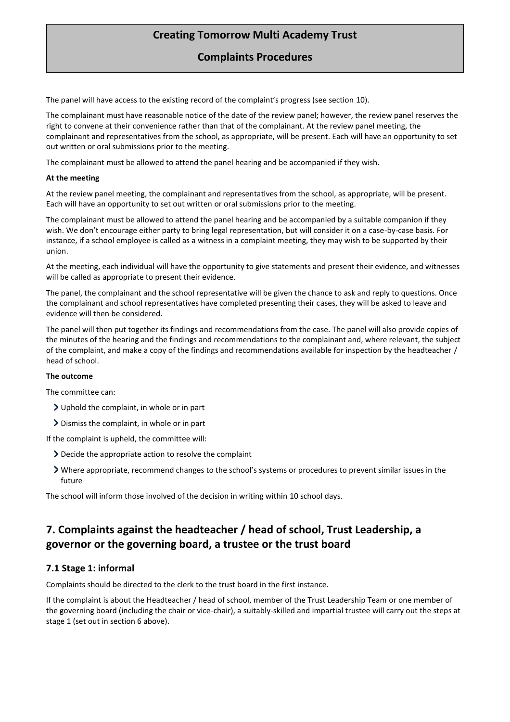### **Complaints Procedures**

The panel will have access to the existing record of the complaint's progress (see section 10).

The complainant must have reasonable notice of the date of the review panel; however, the review panel reserves the right to convene at their convenience rather than that of the complainant. At the review panel meeting, the complainant and representatives from the school, as appropriate, will be present. Each will have an opportunity to set out written or oral submissions prior to the meeting.

The complainant must be allowed to attend the panel hearing and be accompanied if they wish.

#### **At the meeting**

At the review panel meeting, the complainant and representatives from the school, as appropriate, will be present. Each will have an opportunity to set out written or oral submissions prior to the meeting.

The complainant must be allowed to attend the panel hearing and be accompanied by a suitable companion if they wish. We don't encourage either party to bring legal representation, but will consider it on a case-by-case basis. For instance, if a school employee is called as a witness in a complaint meeting, they may wish to be supported by their union.

At the meeting, each individual will have the opportunity to give statements and present their evidence, and witnesses will be called as appropriate to present their evidence.

The panel, the complainant and the school representative will be given the chance to ask and reply to questions. Once the complainant and school representatives have completed presenting their cases, they will be asked to leave and evidence will then be considered.

The panel will then put together its findings and recommendations from the case. The panel will also provide copies of the minutes of the hearing and the findings and recommendations to the complainant and, where relevant, the subject of the complaint, and make a copy of the findings and recommendations available for inspection by the headteacher / head of school.

#### **The outcome**

The committee can:

- Uphold the complaint, in whole or in part
- Dismiss the complaint, in whole or in part

If the complaint is upheld, the committee will:

- Decide the appropriate action to resolve the complaint
- Where appropriate, recommend changes to the school's systems or procedures to prevent similar issues in the future

The school will inform those involved of the decision in writing within 10 school days.

# <span id="page-7-0"></span>**7. Complaints against the headteacher / head of school, Trust Leadership, a governor or the governing board, a trustee or the trust board**

#### **7.1 Stage 1: informal**

Complaints should be directed to the clerk to the trust board in the first instance.

If the complaint is about the Headteacher / head of school, member of the Trust Leadership Team or one member of the governing board (including the chair or vice-chair), a suitably-skilled and impartial trustee will carry out the steps at stage 1 (set out in section 6 above).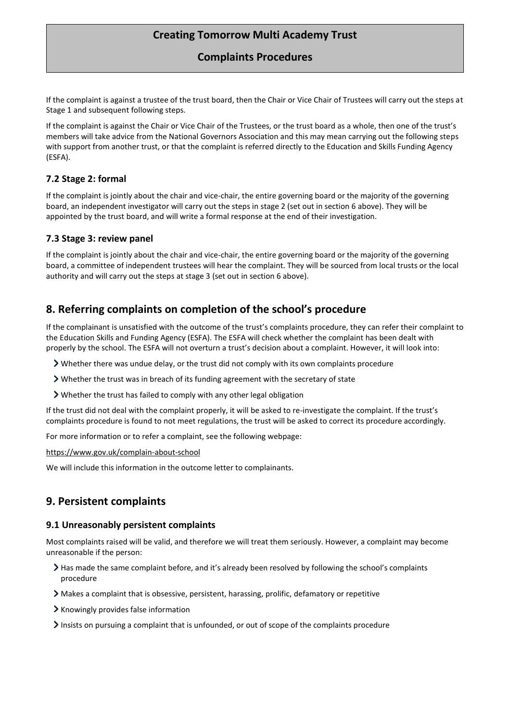**Complaints Procedures**

If the complaint is against a trustee of the trust board, then the Chair or Vice Chair of Trustees will carry out the steps at Stage 1 and subsequent following steps.

If the complaint is against the Chair or Vice Chair of the Trustees, or the trust board as a whole, then one of the trust's members will take advice from the National Governors Association and this may mean carrying out the following steps with support from another trust, or that the complaint is referred directly to the Education and Skills Funding Agency (ESFA).

### **7.2 Stage 2: formal**

If the complaint is jointly about the chair and vice-chair, the entire governing board or the majority of the governing board, an independent investigator will carry out the steps in stage 2 (set out in section 6 above). They will be appointed by the trust board, and will write a formal response at the end of their investigation.

#### **7.3 Stage 3: review panel**

If the complaint is jointly about the chair and vice-chair, the entire governing board or the majority of the governing board, a committee of independent trustees will hear the complaint. They will be sourced from local trusts or the local authority and will carry out the steps at stage 3 (set out in section 6 above).

### <span id="page-8-0"></span>**8. Referring complaints on completion of the school's procedure**

If the complainant is unsatisfied with the outcome of the trust's complaints procedure, they can refer their complaint to the Education Skills and Funding Agency (ESFA). The ESFA will check whether the complaint has been dealt with properly by the school. The ESFA will not overturn a trust's decision about a complaint. However, it will look into:

- Whether there was undue delay, or the trust did not comply with its own complaints procedure
- Whether the trust was in breach of its funding agreement with the secretary of state
- Whether the trust has failed to comply with any other legal obligation

If the trust did not deal with the complaint properly, it will be asked to re-investigate the complaint. If the trust's complaints procedure is found to not meet regulations, the trust will be asked to correct its procedure accordingly.

For more information or to refer a complaint, see the following webpage:

<https://www.gov.uk/complain-about-school>

We will include this information in the outcome letter to complainants.

### <span id="page-8-1"></span>**9. Persistent complaints**

#### **9.1 Unreasonably persistent complaints**

Most complaints raised will be valid, and therefore we will treat them seriously. However, a complaint may become unreasonable if the person:

- If Has made the same complaint before, and it's already been resolved by following the school's complaints procedure
- Makes a complaint that is obsessive, persistent, harassing, prolific, defamatory or repetitive
- Knowingly provides false information
- Insists on pursuing a complaint that is unfounded, or out of scope of the complaints procedure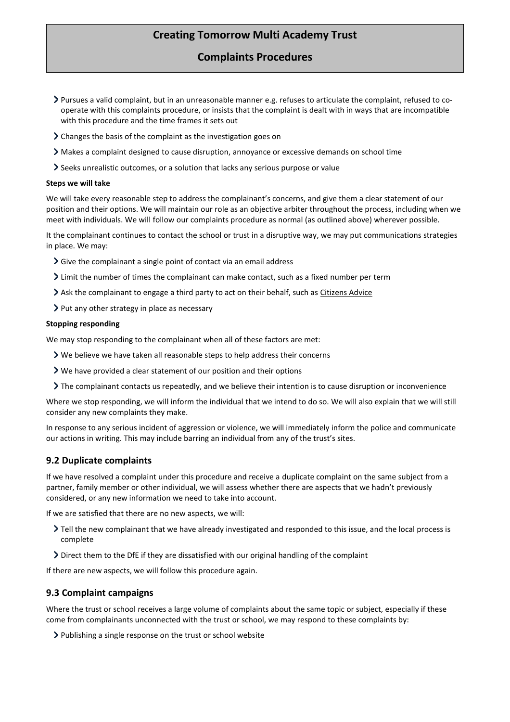### **Complaints Procedures**

- Pursues a valid complaint, but in an unreasonable manner e.g. refuses to articulate the complaint, refused to cooperate with this complaints procedure, or insists that the complaint is dealt with in ways that are incompatible with this procedure and the time frames it sets out
- Changes the basis of the complaint as the investigation goes on
- Makes a complaint designed to cause disruption, annoyance or excessive demands on school time
- Seeks unrealistic outcomes, or a solution that lacks any serious purpose or value

#### **Steps we will take**

We will take every reasonable step to address the complainant's concerns, and give them a clear statement of our position and their options. We will maintain our role as an objective arbiter throughout the process, including when we meet with individuals. We will follow our complaints procedure as normal (as outlined above) wherever possible.

It the complainant continues to contact the school or trust in a disruptive way, we may put communications strategies in place. We may:

- Sive the complainant a single point of contact via an email address
- Limit the number of times the complainant can make contact, such as a fixed number per term
- Ask the complainant to engage a third party to act on their behalf, such a[s Citizens Advice](https://www.citizensadvice.org.uk/)
- $\triangleright$  Put any other strategy in place as necessary

#### **Stopping responding**

We may stop responding to the complainant when all of these factors are met:

- We believe we have taken all reasonable steps to help address their concerns
- We have provided a clear statement of our position and their options
- The complainant contacts us repeatedly, and we believe their intention is to cause disruption or inconvenience

Where we stop responding, we will inform the individual that we intend to do so. We will also explain that we will still consider any new complaints they make.

In response to any serious incident of aggression or violence, we will immediately inform the police and communicate our actions in writing. This may include barring an individual from any of the trust's sites.

#### **9.2 Duplicate complaints**

If we have resolved a complaint under this procedure and receive a duplicate complaint on the same subject from a partner, family member or other individual, we will assess whether there are aspects that we hadn't previously considered, or any new information we need to take into account.

If we are satisfied that there are no new aspects, we will:

- Tell the new complainant that we have already investigated and responded to this issue, and the local process is complete
- Direct them to the DfE if they are dissatisfied with our original handling of the complaint

If there are new aspects, we will follow this procedure again.

#### **9.3 Complaint campaigns**

Where the trust or school receives a large volume of complaints about the same topic or subject, especially if these come from complainants unconnected with the trust or school, we may respond to these complaints by:

Publishing a single response on the trust or school website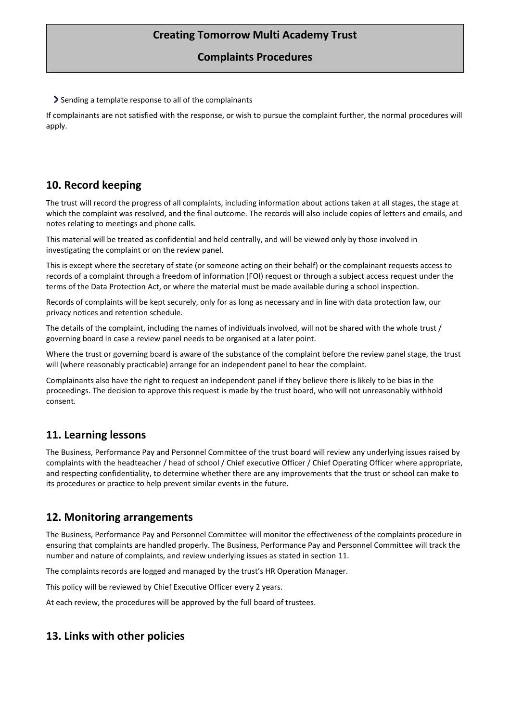### **Complaints Procedures**

Sending a template response to all of the complainants

If complainants are not satisfied with the response, or wish to pursue the complaint further, the normal procedures will apply.

### <span id="page-10-0"></span>**10. Record keeping**

The trust will record the progress of all complaints, including information about actions taken at all stages, the stage at which the complaint was resolved, and the final outcome. The records will also include copies of letters and emails, and notes relating to meetings and phone calls.

This material will be treated as confidential and held centrally, and will be viewed only by those involved in investigating the complaint or on the review panel.

This is except where the secretary of state (or someone acting on their behalf) or the complainant requests access to records of a complaint through a freedom of information (FOI) request or through a subject access request under the terms of the Data Protection Act, or where the material must be made available during a school inspection.

Records of complaints will be kept securely, only for as long as necessary and in line with data protection law, our privacy notices and retention schedule.

The details of the complaint, including the names of individuals involved, will not be shared with the whole trust / governing board in case a review panel needs to be organised at a later point.

Where the trust or governing board is aware of the substance of the complaint before the review panel stage, the trust will (where reasonably practicable) arrange for an independent panel to hear the complaint.

Complainants also have the right to request an independent panel if they believe there is likely to be bias in the proceedings. The decision to approve this request is made by the trust board, who will not unreasonably withhold consent.

# <span id="page-10-1"></span>**11. Learning lessons**

The Business, Performance Pay and Personnel Committee of the trust board will review any underlying issues raised by complaints with the headteacher / head of school / Chief executive Officer / Chief Operating Officer where appropriate, and respecting confidentiality, to determine whether there are any improvements that the trust or school can make to its procedures or practice to help prevent similar events in the future.

# <span id="page-10-2"></span>**12. Monitoring arrangements**

The Business, Performance Pay and Personnel Committee will monitor the effectiveness of the complaints procedure in ensuring that complaints are handled properly. The Business, Performance Pay and Personnel Committee will track the number and nature of complaints, and review underlying issues as stated in section 11.

The complaints records are logged and managed by the trust's HR Operation Manager.

This policy will be reviewed by Chief Executive Officer every 2 years.

At each review, the procedures will be approved by the full board of trustees.

# <span id="page-10-3"></span>**13. Links with other policies**